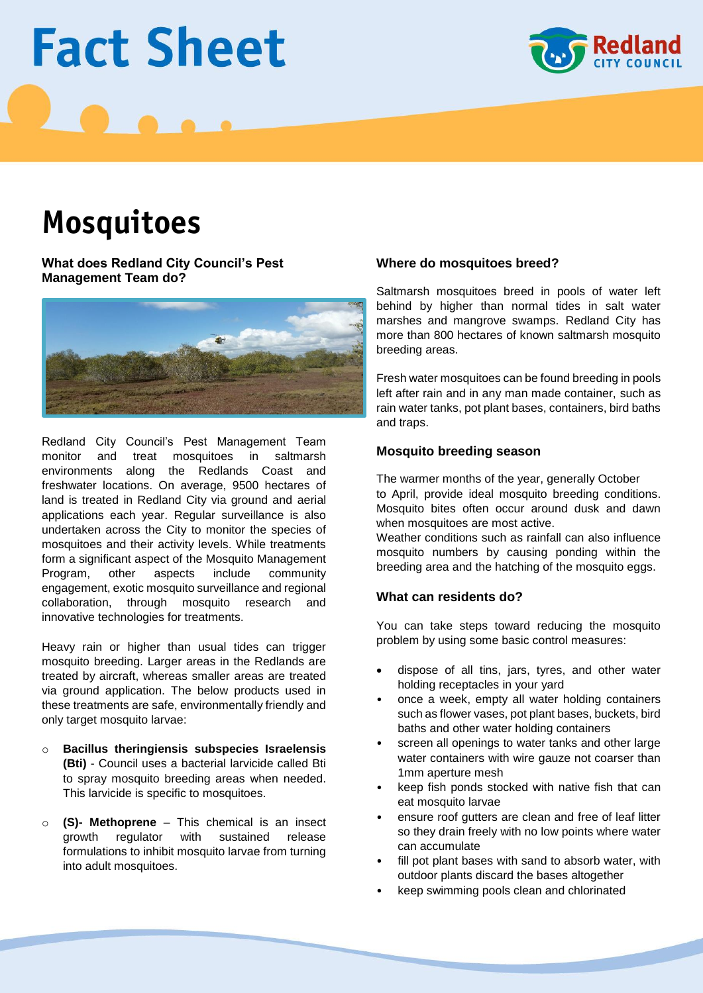# **Fact Sheet**



# **Mosquitoes**

**What does Redland City Council's Pest Management Team do?**



Redland City Council's Pest Management Team monitor and treat mosquitoes in saltmarsh environments along the Redlands Coast and freshwater locations. On average, 9500 hectares of land is treated in Redland City via ground and aerial applications each year. Regular surveillance is also undertaken across the City to monitor the species of mosquitoes and their activity levels. While treatments form a significant aspect of the Mosquito Management Program, other aspects include community engagement, exotic mosquito surveillance and regional collaboration, through mosquito research and innovative technologies for treatments.

Heavy rain or higher than usual tides can trigger mosquito breeding. Larger areas in the Redlands are treated by aircraft, whereas smaller areas are treated via ground application. The below products used in these treatments are safe, environmentally friendly and only target mosquito larvae:

- o **Bacillus theringiensis subspecies Israelensis (Bti)** - Council uses a bacterial larvicide called Bti to spray mosquito breeding areas when needed. This larvicide is specific to mosquitoes.
- o **(S)- Methoprene** This chemical is an insect growth regulator with sustained release formulations to inhibit mosquito larvae from turning into adult mosquitoes.

### **Where do mosquitoes breed?**

Saltmarsh mosquitoes breed in pools of water left behind by higher than normal tides in salt water marshes and mangrove swamps. Redland City has more than 800 hectares of known saltmarsh mosquito breeding areas.

Fresh water mosquitoes can be found breeding in pools left after rain and in any man made container, such as rain water tanks, pot plant bases, containers, bird baths and traps.

### **Mosquito breeding season**

The warmer months of the year, generally October to April, provide ideal mosquito breeding conditions. Mosquito bites often occur around dusk and dawn when mosquitoes are most active.

Weather conditions such as rainfall can also influence mosquito numbers by causing ponding within the breeding area and the hatching of the mosquito eggs.

### **What can residents do?**

You can take steps toward reducing the mosquito problem by using some basic control measures:

- dispose of all tins, jars, tyres, and other water holding receptacles in your yard
- once a week, empty all water holding containers such as flower vases, pot plant bases, buckets, bird baths and other water holding containers
- screen all openings to water tanks and other large water containers with wire gauze not coarser than 1mm aperture mesh
- keep fish ponds stocked with native fish that can eat mosquito larvae
- ensure roof gutters are clean and free of leaf litter so they drain freely with no low points where water can accumulate
- fill pot plant bases with sand to absorb water, with outdoor plants discard the bases altogether
- keep swimming pools clean and chlorinated